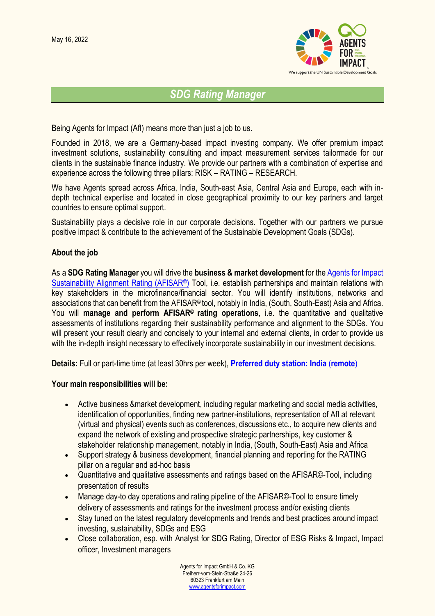

# *SDG Rating Manager*

Being Agents for Impact (AfI) means more than just a job to us.

Founded in 2018, we are a Germany-based impact investing company. We offer premium impact investment solutions, sustainability consulting and impact measurement services tailormade for our clients in the sustainable finance industry. We provide our partners with a combination of expertise and experience across the following three pillars: RISK – RATING – RESEARCH.

We have Agents spread across Africa, India, South-east Asia, Central Asia and Europe, each with indepth technical expertise and located in close geographical proximity to our key partners and target countries to ensure optimal support.

Sustainability plays a decisive role in our corporate decisions. Together with our partners we pursue positive impact & contribute to the achievement of the Sustainable Development Goals (SDGs).

# **About the job**

As a **SDG Rating Manager** you will drive the **business & market development** for the [Agents for Impact](https://www.agentsforimpact.com/de/afisar/)  [Sustainability Alignment Rating \(AFISAR](https://www.agentsforimpact.com/de/afisar/)<sup>®</sup>) Tool, i.e. establish partnerships and maintain relations with key stakeholders in the microfinance/financial sector. You will identify institutions, networks and associations that can benefit from the AFISAR© tool, notably in India, (South, South-East) Asia and Africa. You will **manage and perform AFISAR© rating operations**, i.e. the quantitative and qualitative assessments of institutions regarding their sustainability performance and alignment to the SDGs. You will present your result clearly and concisely to your internal and external clients, in order to provide us with the in-depth insight necessary to effectively incorporate sustainability in our investment decisions.

**Details:** Full or part-time time (at least 30hrs per week), **Preferred duty station: India** (**remote**)

#### **Your main responsibilities will be:**

- Active business &market development, including regular marketing and social media activities, identification of opportunities, finding new partner-institutions, representation of AfI at relevant (virtual and physical) events such as conferences, discussions etc., to acquire new clients and expand the network of existing and prospective strategic partnerships, key customer & stakeholder relationship management, notably in India, (South, South-East) Asia and Africa
- Support strategy & business development, financial planning and reporting for the RATING pillar on a regular and ad-hoc basis
- Quantitative and qualitative assessments and ratings based on the AFISAR©-Tool, including presentation of results
- Manage day-to day operations and rating pipeline of the AFISAR©-Tool to ensure timely delivery of assessments and ratings for the investment process and/or existing clients
- Stay tuned on the latest regulatory developments and trends and best practices around impact investing, sustainability, SDGs and ESG
- Close collaboration, esp. with Analyst for SDG Rating, Director of ESG Risks & Impact, Impact officer, Investment managers

Agents for Impact GmbH & Co. KG Freiherr-vom-Stein-Straße 24-26 60323 Frankfurt am Main [www.agentsforimpact.com](http://www.agentsforimpact.com/)